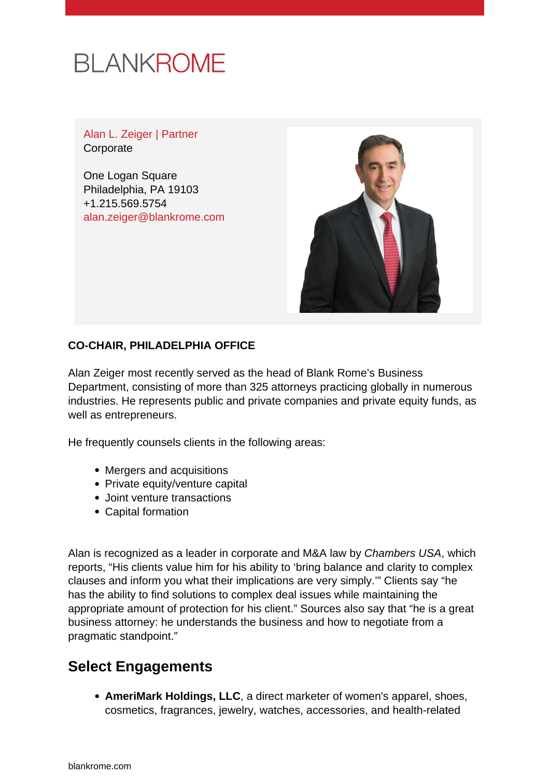

Alan L. Zeiger | Partner **Corporate** 

One Logan Square Philadelphia, PA 19103 +1.215.569.5754 [alan.zeiger@blankrome.com](mailto:alan.zeiger@blankrome.com)



### **CO-CHAIR, PHILADELPHIA OFFICE**

Alan Zeiger most recently served as the head of Blank Rome's Business Department, consisting of more than 325 attorneys practicing globally in numerous industries. He represents public and private companies and private equity funds, as well as entrepreneurs.

He frequently counsels clients in the following areas:

- Mergers and acquisitions
- Private equity/venture capital
- Joint venture transactions
- Capital formation

Alan is recognized as a leader in corporate and M&A law by Chambers USA, which reports, "His clients value him for his ability to 'bring balance and clarity to complex clauses and inform you what their implications are very simply.'" Clients say "he has the ability to find solutions to complex deal issues while maintaining the appropriate amount of protection for his client." Sources also say that "he is a great business attorney: he understands the business and how to negotiate from a pragmatic standpoint."

## **Select Engagements**

**AmeriMark Holdings, LLC**, a direct marketer of women's apparel, shoes, cosmetics, fragrances, jewelry, watches, accessories, and health-related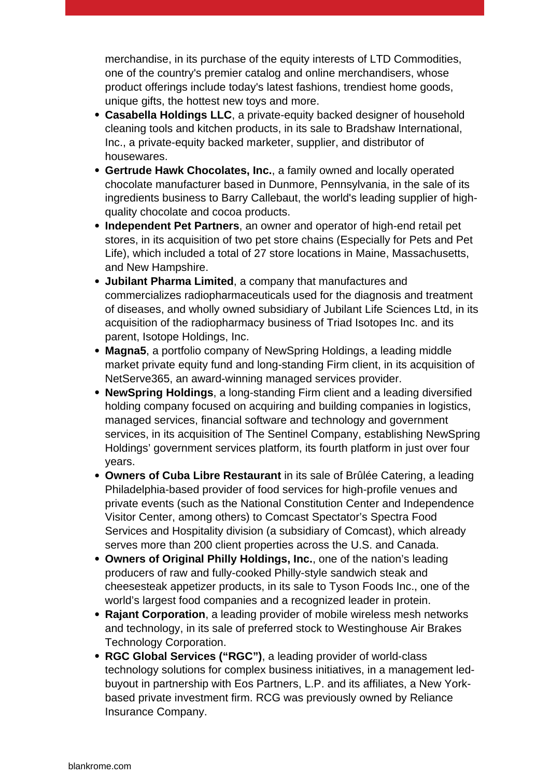merchandise, in its purchase of the equity interests of LTD Commodities, one of the country's premier catalog and online merchandisers, whose product offerings include today's latest fashions, trendiest home goods, unique gifts, the hottest new toys and more.

- **Casabella Holdings LLC**, a private-equity backed designer of household cleaning tools and kitchen products, in its sale to Bradshaw International, Inc., a private-equity backed marketer, supplier, and distributor of housewares.
- **Gertrude Hawk Chocolates, Inc.**, a family owned and locally operated chocolate manufacturer based in Dunmore, Pennsylvania, in the sale of its ingredients business to Barry Callebaut, the world's leading supplier of highquality chocolate and cocoa products.
- **Independent Pet Partners**, an owner and operator of high-end retail pet stores, in its acquisition of two pet store chains (Especially for Pets and Pet Life), which included a total of 27 store locations in Maine, Massachusetts, and New Hampshire.
- **Jubilant Pharma Limited**, a company that manufactures and commercializes radiopharmaceuticals used for the diagnosis and treatment of diseases, and wholly owned subsidiary of Jubilant Life Sciences Ltd, in its acquisition of the radiopharmacy business of Triad Isotopes Inc. and its parent, Isotope Holdings, Inc.
- **Magna5**, a portfolio company of NewSpring Holdings, a leading middle market private equity fund and long-standing Firm client, in its acquisition of NetServe365, an award-winning managed services provider.
- **NewSpring Holdings**, a long-standing Firm client and a leading diversified holding company focused on acquiring and building companies in logistics, managed services, financial software and technology and government services, in its acquisition of The Sentinel Company, establishing NewSpring Holdings' government services platform, its fourth platform in just over four years.
- **Owners of Cuba Libre Restaurant** in its sale of Brûlée Catering, a leading Philadelphia-based provider of food services for high-profile venues and private events (such as the National Constitution Center and Independence Visitor Center, among others) to Comcast Spectator's Spectra Food Services and Hospitality division (a subsidiary of Comcast), which already serves more than 200 client properties across the U.S. and Canada.
- **Owners of Original Philly Holdings, Inc.**, one of the nation's leading producers of raw and fully-cooked Philly-style sandwich steak and cheesesteak appetizer products, in its sale to Tyson Foods Inc., one of the world's largest food companies and a recognized leader in protein.
- **Rajant Corporation**, a leading provider of mobile wireless mesh networks and technology, in its sale of preferred stock to Westinghouse Air Brakes Technology Corporation.
- **RGC Global Services ("RGC")**, a leading provider of world-class technology solutions for complex business initiatives, in a management ledbuyout in partnership with Eos Partners, L.P. and its affiliates, a New Yorkbased private investment firm. RCG was previously owned by Reliance Insurance Company.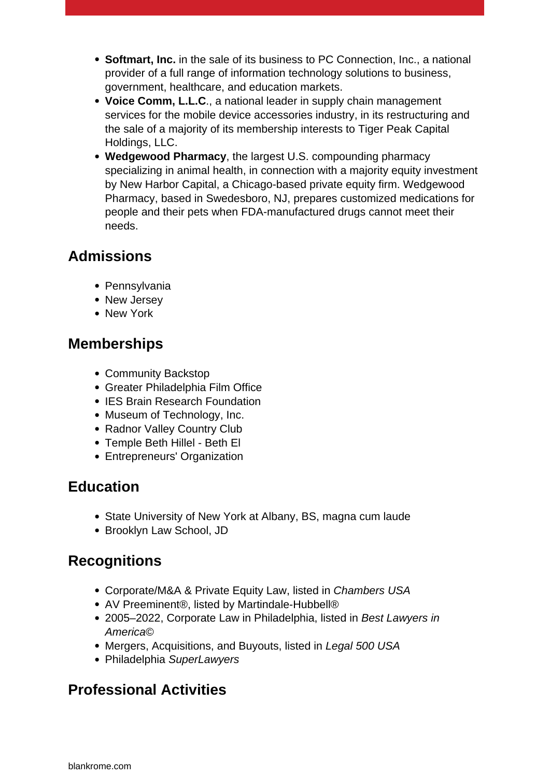- **Softmart, Inc.** in the sale of its business to PC Connection, Inc., a national provider of a full range of information technology solutions to business, government, healthcare, and education markets.
- **Voice Comm, L.L.C**., a national leader in supply chain management services for the mobile device accessories industry, in its restructuring and the sale of a majority of its membership interests to Tiger Peak Capital Holdings, LLC.
- **Wedgewood Pharmacy**, the largest U.S. compounding pharmacy specializing in animal health, in connection with a majority equity investment by New Harbor Capital, a Chicago-based private equity firm. Wedgewood Pharmacy, based in Swedesboro, NJ, prepares customized medications for people and their pets when FDA-manufactured drugs cannot meet their needs.

# **Admissions**

- Pennsylvania
- New Jersey
- New York

## **Memberships**

- Community Backstop
- Greater Philadelphia Film Office
- IES Brain Research Foundation
- Museum of Technology, Inc.
- Radnor Valley Country Club
- Temple Beth Hillel Beth El
- Entrepreneurs' Organization

## **Education**

- State University of New York at Albany, BS, magna cum laude
- Brooklyn Law School, JD

# **Recognitions**

- Corporate/M&A & Private Equity Law, listed in Chambers USA
- AV Preeminent®, listed by Martindale-Hubbell®
- 2005–2022, Corporate Law in Philadelphia, listed in Best Lawyers in America©
- Mergers, Acquisitions, and Buyouts, listed in Legal 500 USA
- Philadelphia SuperLawyers

# **Professional Activities**